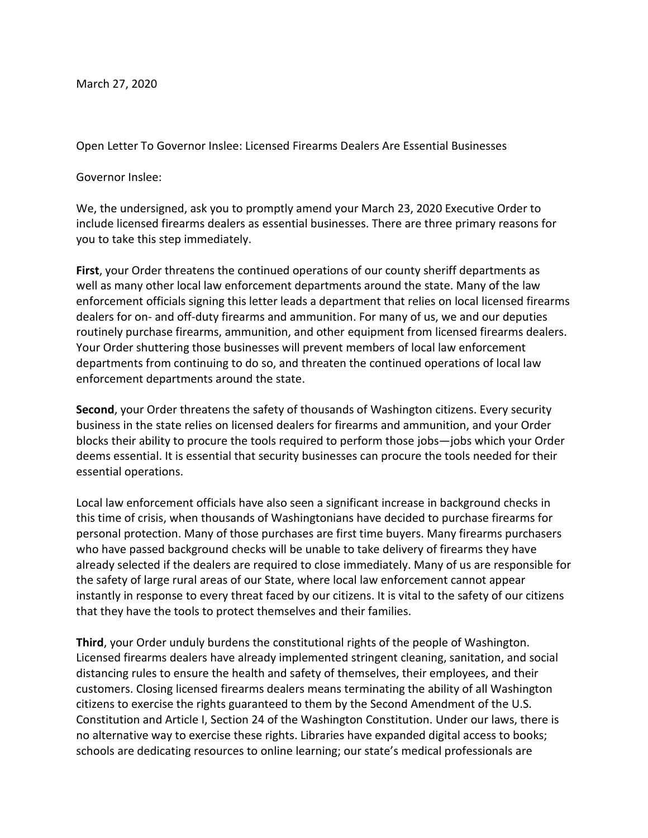March 27, 2020

Open Letter To Governor Inslee: Licensed Firearms Dealers Are Essential Businesses

Governor Inslee:

We, the undersigned, ask you to promptly amend your March 23, 2020 Executive Order to include licensed firearms dealers as essential businesses. There are three primary reasons for you to take this step immediately.

**First**, your Order threatens the continued operations of our county sheriff departments as well as many other local law enforcement departments around the state. Many of the law enforcement officials signing this letter leads a department that relies on local licensed firearms dealers for on- and off-duty firearms and ammunition. For many of us, we and our deputies routinely purchase firearms, ammunition, and other equipment from licensed firearms dealers. Your Order shuttering those businesses will prevent members of local law enforcement departments from continuing to do so, and threaten the continued operations of local law enforcement departments around the state.

**Second**, your Order threatens the safety of thousands of Washington citizens. Every security business in the state relies on licensed dealers for firearms and ammunition, and your Order blocks their ability to procure the tools required to perform those jobs—jobs which your Order deems essential. It is essential that security businesses can procure the tools needed for their essential operations.

Local law enforcement officials have also seen a significant increase in background checks in this time of crisis, when thousands of Washingtonians have decided to purchase firearms for personal protection. Many of those purchases are first time buyers. Many firearms purchasers who have passed background checks will be unable to take delivery of firearms they have already selected if the dealers are required to close immediately. Many of us are responsible for the safety of large rural areas of our State, where local law enforcement cannot appear instantly in response to every threat faced by our citizens. It is vital to the safety of our citizens that they have the tools to protect themselves and their families.

**Third**, your Order unduly burdens the constitutional rights of the people of Washington. Licensed firearms dealers have already implemented stringent cleaning, sanitation, and social distancing rules to ensure the health and safety of themselves, their employees, and their customers. Closing licensed firearms dealers means terminating the ability of all Washington citizens to exercise the rights guaranteed to them by the Second Amendment of the U.S. Constitution and Article I, Section 24 of the Washington Constitution. Under our laws, there is no alternative way to exercise these rights. Libraries have expanded digital access to books; schools are dedicating resources to online learning; our state's medical professionals are